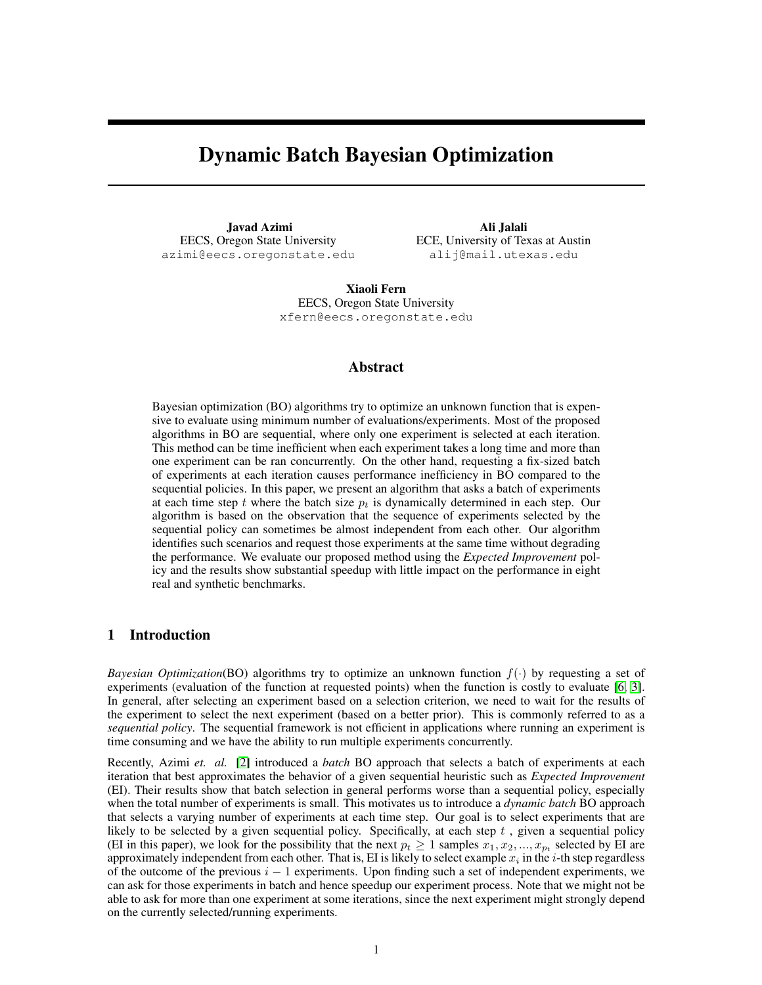# Dynamic Batch Bayesian Optimization

Javad Azimi EECS, Oregon State University azimi@eecs.oregonstate.edu

Ali Jalali ECE, University of Texas at Austin alij@mail.utexas.edu

Xiaoli Fern EECS, Oregon State University xfern@eecs.oregonstate.edu

#### Abstract

Bayesian optimization (BO) algorithms try to optimize an unknown function that is expensive to evaluate using minimum number of evaluations/experiments. Most of the proposed algorithms in BO are sequential, where only one experiment is selected at each iteration. This method can be time inefficient when each experiment takes a long time and more than one experiment can be ran concurrently. On the other hand, requesting a fix-sized batch of experiments at each iteration causes performance inefficiency in BO compared to the sequential policies. In this paper, we present an algorithm that asks a batch of experiments at each time step t where the batch size  $p_t$  is dynamically determined in each step. Our algorithm is based on the observation that the sequence of experiments selected by the sequential policy can sometimes be almost independent from each other. Our algorithm identifies such scenarios and request those experiments at the same time without degrading the performance. We evaluate our proposed method using the *Expected Improvement* policy and the results show substantial speedup with little impact on the performance in eight real and synthetic benchmarks.

# 1 Introduction

*Bayesian Optimization*(BO) algorithms try to optimize an unknown function  $f(\cdot)$  by requesting a set of experiments (evaluation of the function at requested points) when the function is costly to evaluate [\[6,](#page-4-0) [3\]](#page-4-1). In general, after selecting an experiment based on a selection criterion, we need to wait for the results of the experiment to select the next experiment (based on a better prior). This is commonly referred to as a *sequential policy*. The sequential framework is not efficient in applications where running an experiment is time consuming and we have the ability to run multiple experiments concurrently.

Recently, Azimi *et. al.* [\[2\]](#page-4-2) introduced a *batch* BO approach that selects a batch of experiments at each iteration that best approximates the behavior of a given sequential heuristic such as *Expected Improvement* (EI). Their results show that batch selection in general performs worse than a sequential policy, especially when the total number of experiments is small. This motivates us to introduce a *dynamic batch* BO approach that selects a varying number of experiments at each time step. Our goal is to select experiments that are likely to be selected by a given sequential policy. Specifically, at each step  $t$ , given a sequential policy (EI in this paper), we look for the possibility that the next  $p_t \geq 1$  samples  $x_1, x_2, ..., x_{p_t}$  selected by EI are approximately independent from each other. That is, EI is likely to select example  $x_i$  in the *i*-th step regardless of the outcome of the previous  $i - 1$  experiments. Upon finding such a set of independent experiments, we can ask for those experiments in batch and hence speedup our experiment process. Note that we might not be able to ask for more than one experiment at some iterations, since the next experiment might strongly depend on the currently selected/running experiments.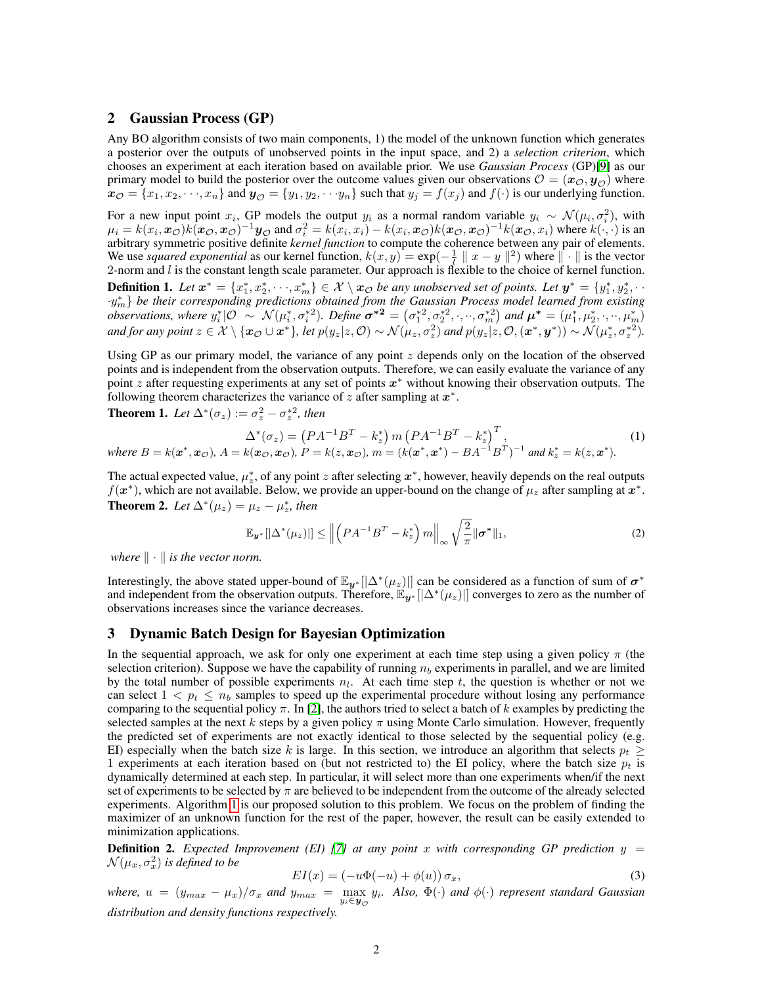#### 2 Gaussian Process (GP)

Any BO algorithm consists of two main components, 1) the model of the unknown function which generates a posterior over the outputs of unobserved points in the input space, and 2) a *selection criterion*, which chooses an experiment at each iteration based on available prior. We use *Gaussian Process* (GP)[\[9\]](#page-4-3) as our primary model to build the posterior over the outcome values given our observations  $\mathcal{O} = (\mathbf{x}_\mathcal{O}, \mathbf{y}_\mathcal{O})$  where  $x_{\mathcal{O}} = \{x_1, x_2, \dots, x_n\}$  and  $y_{\mathcal{O}} = \{y_1, y_2, \dots, y_n\}$  such that  $y_j = f(x_j)$  and  $f(\cdot)$  is our underlying function.

For a new input point  $x_i$ , GP models the output  $y_i$  as a normal random variable  $y_i \sim \mathcal{N}(\mu_i, \sigma_i^2)$ , with  $\mu_i = k(x_i, \mathbf{x}_{\mathcal{O}})k(\mathbf{x}_{\mathcal{O}}, \mathbf{x}_{\mathcal{O}})^{-1}\mathbf{y}_{\mathcal{O}}$  and  $\sigma_i^2 = k(x_i, x_i) - k(x_i, \mathbf{x}_{\mathcal{O}})k(\mathbf{x}_{\mathcal{O}}, \mathbf{x}_{\mathcal{O}})^{-1}k(\mathbf{x}_{\mathcal{O}}, x_i)$  where  $k(\cdot, \cdot)$  is an arbitrary symmetric positive definite *kernel function* to compute the coherence between any pair of elements. We use *squared exponential* as our kernel function,  $k(x, y) = \exp(-\frac{1}{l} ||x - y||^2)$  where  $|| \cdot ||$  is the vector 2-norm and  $l$  is the constant length scale parameter. Our approach is flexible to the choice of kernel function. **Definition 1.** Let  $x^* = \{x_1^*, x_2^*, \dots, x_m^*\} \in \mathcal{X} \setminus x_{\mathcal{O}}$  be any unobserved set of points. Let  $y^* = \{y_1^*, y_2^*, \dots\}$ 

·y ∗ <sup>m</sup>} *be their corresponding predictions obtained from the Gaussian Process model learned from existing observations, where*  $y_i^* | O \sim \mathcal{N}(\mu_i^*, \sigma_i^{*2})$ . Define  $\sigma^{*2} = (\sigma_1^{*2}, \sigma_2^{*2}, \cdot, \cdot, \sigma_m^{*2})$  and  $\mu^* = (\mu_1^*, \mu_2^*, \cdot, \cdot, \mu_m^*)$ and for any point  $z \in \mathcal{X} \setminus \{ \bm{x}_{\mathcal{O}} \cup \bm{x}^* \}$ , let  $p(y_z | z, \mathcal{O}) \sim \mathcal{N}(\mu_z, \sigma_z^2)$  and  $p(y_z | z, \mathcal{O}, (\bm{x}^*, \bm{y}^*)) \sim \mathcal{N}(\mu_z^*, \sigma_z^{*2})$ .

Using GP as our primary model, the variance of any point z depends only on the location of the observed points and is independent from the observation outputs. Therefore, we can easily evaluate the variance of any point z after requesting experiments at any set of points  $x^*$  without knowing their observation outputs. The following theorem characterizes the variance of z after sampling at  $x^*$ .

**Theorem 1.** Let  $\Delta^*(\sigma_z) := \sigma_z^2 - \sigma_z^{*2}$ , then

$$
\Delta^*(\sigma_z) = (PA^{-1}B^T - k_z^*) m (PA^{-1}B^T - k_z^*)^T,
$$
  
where  $B = k(\mathbf{x}^*, \mathbf{x}_\mathcal{O}), A = k(\mathbf{x}_\mathcal{O}, \mathbf{x}_\mathcal{O}), P = k(z, \mathbf{x}_\mathcal{O}), m = (k(\mathbf{x}^*, \mathbf{x}^*) - BA^{-1}B^T)^{-1}$  and  $k_z^* = k(z, \mathbf{x}^*).$  (1)

The actual expected value,  $\mu_z^*$ , of any point z after selecting  $x^*$ , however, heavily depends on the real outputs  $f(x^*)$ , which are not available. Below, we provide an upper-bound on the change of  $\mu_z$  after sampling at  $x^*$ . **Theorem 2.** Let  $\Delta^*(\mu_z) = \mu_z - \mu_z^*$ , then

$$
\mathbb{E}_{\boldsymbol{y}^*}[|\Delta^*(\mu_z)|] \le \left\| \left( P A^{-1} B^T - k_z^* \right) m \right\|_{\infty} \sqrt{\frac{2}{\pi}} \|\boldsymbol{\sigma}^*\|_1,
$$
\n(2)

*where*  $\|\cdot\|$  *is the vector norm.* 

Interestingly, the above stated upper-bound of  $\mathbb{E}_{y^*}[|\Delta^*(\mu_z)|]$  can be considered as a function of sum of  $\sigma^*$ and independent from the observation outputs. Therefore,  $\tilde{E}_{\bm{y}^*}[\Delta^*(\mu_z)]$  converges to zero as the number of observations increases since the variance decreases.

#### 3 Dynamic Batch Design for Bayesian Optimization

In the sequential approach, we ask for only one experiment at each time step using a given policy  $\pi$  (the selection criterion). Suppose we have the capability of running  $n<sub>b</sub>$  experiments in parallel, and we are limited by the total number of possible experiments  $n_l$ . At each time step t, the question is whether or not we can select  $1 < p_t \le n_b$  samples to speed up the experimental procedure without losing any performance comparing to the sequential policy  $\pi$ . In [\[2\]](#page-4-2), the authors tried to select a batch of k examples by predicting the selected samples at the next k steps by a given policy  $\pi$  using Monte Carlo simulation. However, frequently the predicted set of experiments are not exactly identical to those selected by the sequential policy (e.g. EI) especially when the batch size k is large. In this section, we introduce an algorithm that selects  $p_t \geq$ 1 experiments at each iteration based on (but not restricted to) the EI policy, where the batch size  $p_t$  is dynamically determined at each step. In particular, it will select more than one experiments when/if the next set of experiments to be selected by  $\pi$  are believed to be independent from the outcome of the already selected experiments. Algorithm [1](#page-2-0) is our proposed solution to this problem. We focus on the problem of finding the maximizer of an unknown function for the rest of the paper, however, the result can be easily extended to minimization applications.

**Definition 2.** *Expected Improvement (EI) [\[7\]](#page-4-4) at any point* x *with corresponding GP prediction*  $y =$  $\mathcal{N}(\mu_x, \sigma_x^2)$  is defined to be

$$
EI(x) = (-u\Phi(-u) + \phi(u))\sigma_x,\tag{3}
$$

 $where, u = (y_{max} - \mu_x)/\sigma_x$  and  $y_{max} = \max_{y_i \in y_{\mathcal{O}}} y_i$ . Also,  $\Phi(\cdot)$  and  $\phi(\cdot)$  represent standard Gaussian *distribution and density functions respectively.*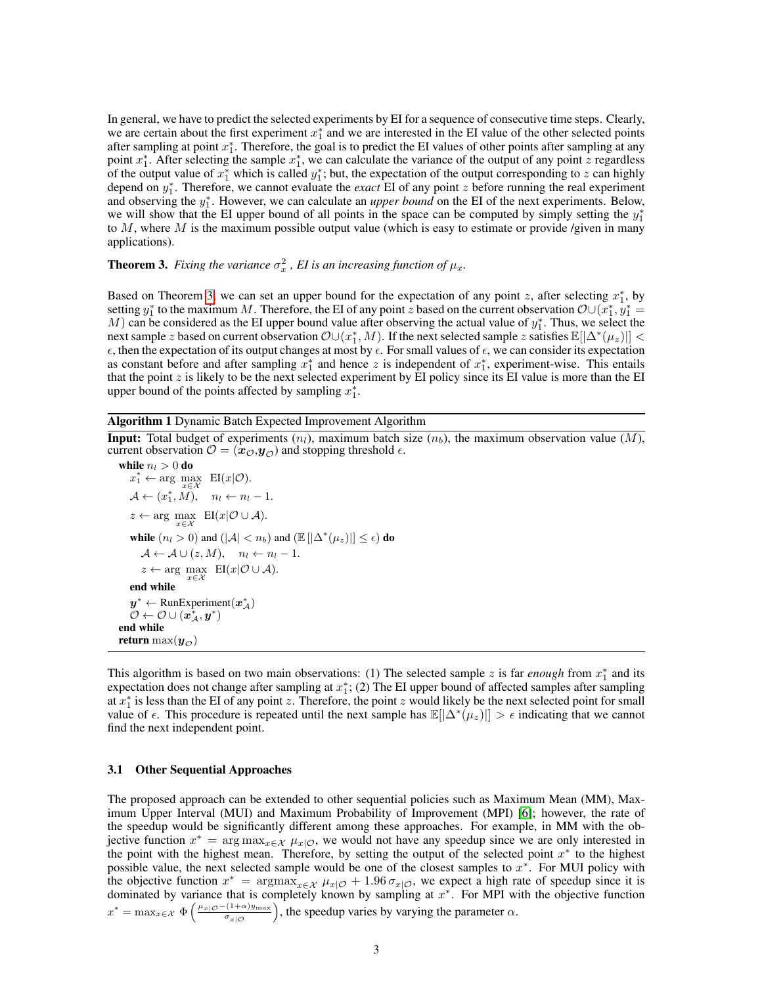In general, we have to predict the selected experiments by EI for a sequence of consecutive time steps. Clearly, we are certain about the first experiment  $x_1^*$  and we are interested in the EI value of the other selected points after sampling at point  $x_1^*$ . Therefore, the goal is to predict the EI values of other points after sampling at any point  $x_1^*$ . After selecting the sample  $x_1^*$ , we can calculate the variance of the output of any point z regardless of the output value of  $x_1^*$  which is called  $y_1^*$ ; but, the expectation of the output corresponding to z can highly depend on  $y_1^*$ . Therefore, we cannot evaluate the *exact* EI of any point z before running the real experiment and observing the  $y_1^*$ . However, we can calculate an *upper bound* on the EI of the next experiments. Below, we will show that the EI upper bound of all points in the space can be computed by simply setting the  $y_1^*$ to  $M$ , where  $M$  is the maximum possible output value (which is easy to estimate or provide /given in many applications).

# <span id="page-2-1"></span>**Theorem 3.** *Fixing the variance*  $\sigma_x^2$ , *EI* is an increasing function of  $\mu_x$ .

Based on Theorem [3,](#page-2-1) we can set an upper bound for the expectation of any point z, after selecting  $x_1^*$ , by setting  $y_1^*$  to the maximum M. Therefore, the EI of any point z based on the current observation  $\mathcal{O}\cup(\overline{x}_1^*,\overline{y}_1^*$ M) can be considered as the EI upper bound value after observing the actual value of  $y_1^*$ . Thus, we select the next sample z based on current observation  $\mathcal{O}\cup(x_1^*,M)$ . If the next selected sample z satisfies  $\mathbb{E}[\Delta^*(\mu_z)] <$  $\epsilon$ , then the expectation of its output changes at most by  $\epsilon$ . For small values of  $\epsilon$ , we can consider its expectation as constant before and after sampling  $x_1^*$  and hence z is independent of  $x_1^*$ , experiment-wise. This entails that the point  $z$  is likely to be the next selected experiment by EI policy since its EI value is more than the EI upper bound of the points affected by sampling  $x_1^*$ .

<span id="page-2-0"></span>Algorithm 1 Dynamic Batch Expected Improvement Algorithm

**Input:** Total budget of experiments  $(n_l)$ , maximum batch size  $(n_b)$ , the maximum observation value  $(M)$ , current observation  $\mathcal{O} = (\mathbf{x}_\mathcal{O}, \mathbf{y}_\mathcal{O})$  and stopping threshold  $\epsilon$ .

```
while n_l > 0 do
      x_1^* \leftarrow \arg\max_{x \in \mathcal{X}} \text{ EI}(x|\mathcal{O}).\mathcal{A} \leftarrow (x_1^*, M), \quad n_l \leftarrow n_l - 1.z \leftarrow \arg \max_{x \in \mathcal{X}} \ \ \text{EI}(x|\mathcal{O} \cup \mathcal{A}).while (n_l > 0) and (|A| < n_b) and (\mathbb{E} [|\Delta^*(\mu_z)|] \leq \epsilon) do
          \mathcal{A} \leftarrow \mathcal{A} \cup (z, M), \quad n_l \leftarrow n_l - 1.z \leftarrow \arg \max_{x \in \mathcal{X}} \ \ \text{EI}(x|\mathcal{O} \cup \mathcal{A}).end while
      y^* \leftarrow RunExperiment(x^*_{\mathcal{A}})\overset{\circ}{\mathcal{O}}\leftarrow\mathcal{O}\cup(\overset{\circ}{\bm{x}_\mathcal{A}^*},\bm{y}^*)end while
return max(y_{\odot})
```
This algorithm is based on two main observations: (1) The selected sample z is far *enough* from  $x_1^*$  and its expectation does not change after sampling at  $x_1^*$ ; (2) The EI upper bound of affected samples after sampling at  $x_1^*$  is less than the EI of any point z. Therefore, the point z would likely be the next selected point for small value of  $\epsilon$ . This procedure is repeated until the next sample has  $\mathbb{E}[\Delta^*(\mu_z)] > \epsilon$  indicating that we cannot find the next independent point.

#### 3.1 Other Sequential Approaches

The proposed approach can be extended to other sequential policies such as Maximum Mean (MM), Maximum Upper Interval (MUI) and Maximum Probability of Improvement (MPI) [\[6\]](#page-4-0); however, the rate of the speedup would be significantly different among these approaches. For example, in MM with the objective function  $x^* = \arg \max_{x \in \mathcal{X}} \mu_{x|\mathcal{O}}$ , we would not have any speedup since we are only interested in the point with the highest mean. Therefore, by setting the output of the selected point  $x^*$  to the highest possible value, the next selected sample would be one of the closest samples to  $x^*$ . For MUI policy with the objective function  $x^* = \argmax_{x \in \mathcal{X}} \mu_{x|\mathcal{O}} + 1.96 \sigma_{x|\mathcal{O}}$ , we expect a high rate of speedup since it is dominated by variance that is completely known by sampling at  $x^*$ . For MPI with the objective function  $x^* = \max_{x \in \mathcal{X}} \Phi\left(\frac{\mu_{x|\mathcal{O}} - (1+\alpha)y_{\max}}{\sigma_{x|\mathcal{O}}}\right)$ , the speedup varies by varying the parameter  $\alpha$ .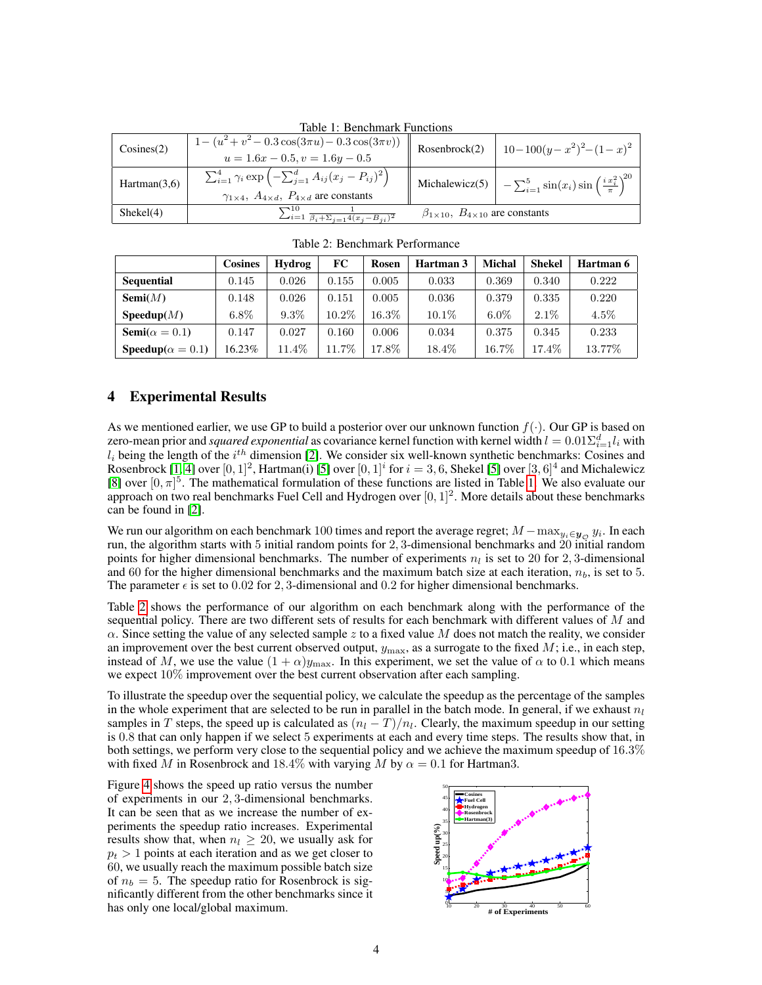| Table 1: Benchmark Functions |                                                                                             |                                                     |                                                                                            |  |  |  |  |  |  |
|------------------------------|---------------------------------------------------------------------------------------------|-----------------------------------------------------|--------------------------------------------------------------------------------------------|--|--|--|--|--|--|
| Cosines(2)                   | $1 - (u^2 + v^2 - 0.3 \cos(3\pi u) - 0.3 \cos(3\pi v))$<br>$u = 1.6x - 0.5, v = 1.6y - 0.5$ | Rosenbrock(2)                                       | $10-100(y-x^2)^2-(1-x)^2$                                                                  |  |  |  |  |  |  |
|                              |                                                                                             |                                                     |                                                                                            |  |  |  |  |  |  |
| Hartman(3,6)                 | $\sum_{i=1}^{4} \gamma_i \exp \left(-\sum_{j=1}^{d} A_{ij} (x_j - P_{ij})^2\right)$         |                                                     | Michalewicz(5) $\Big  -\sum_{i=1}^{5} \sin(x_i) \sin\left(\frac{i x_i^2}{\pi}\right)^{20}$ |  |  |  |  |  |  |
|                              | $\gamma_{1\times 4}$ , $A_{4\times d}$ , $P_{4\times d}$ are constants                      |                                                     |                                                                                            |  |  |  |  |  |  |
| Shekel(4)                    | $\sum_{i=1}^{10} \frac{1}{\beta_i + \sum_{j=1}^{i} 4(x_j - B_{ji})^2}$                      | $\beta_{1\times10}$ , $B_{4\times10}$ are constants |                                                                                            |  |  |  |  |  |  |

<span id="page-3-0"></span>

|                                   | <b>Cosines</b> | Hydrog  | FC    | Rosen | Hartman 3 | <b>Michal</b> | <b>Shekel</b> | Hartman 6 |
|-----------------------------------|----------------|---------|-------|-------|-----------|---------------|---------------|-----------|
| <b>Sequential</b>                 | 0.145          | 0.026   | 0.155 | 0.005 | 0.033     | 0.369         | 0.340         | 0.222     |
| Semi(M)                           | 0.148          | 0.026   | 0.151 | 0.005 | 0.036     | 0.379         | 0.335         | 0.220     |
| Speedup(M)                        | $6.8\%$        | $9.3\%$ | 10.2% | 16.3% | $10.1\%$  | $6.0\%$       | $2.1\%$       | $4.5\%$   |
| <b>Semi</b> ( $\alpha = 0.1$ )    | 0.147          | 0.027   | 0.160 | 0.006 | 0.034     | 0.375         | 0.345         | 0.233     |
| <b>Speedup</b> ( $\alpha = 0.1$ ) | 16.23%         | 11.4%   | 11.7% | 17.8% | 18.4%     | 16.7%         | 17.4%         | 13.77%    |

<span id="page-3-1"></span>Table 2: Benchmark Performance

## <span id="page-3-2"></span>**Experimental Results**

As we mentioned earlier, we use GP to build a posterior over our unknown function  $f(\cdot)$ . Our GP is based on zero-mean prior and *squared exponential* as covariance kernel function with kernel width  $l = 0.01\Sigma_{i=1}^d l_i$  with  $l_i$  being the length of the  $i^{th}$  dimension [\[2\]](#page-4-2). We consider six well-known synthetic benchmarks: Cosines and Rosenbrock [\[1,](#page-4-5) [4\]](#page-4-6) over  $[0,1]^2$ , Hartman(i) [\[5\]](#page-4-7) over  $[0,1]^i$  for  $i=3,6$ , Shekel [5] over  $[3,6]^4$  and Michalewicz [\[8\]](#page-4-8) over  $[0, \pi]^{5}$ . The mathematical formulation of these functions are listed in Table [1.](#page-3-0) We also evaluate our approach on two real benchmarks Fuel Cell and Hydrogen over  $[0, 1]^2$ . More details about these benchmarks can be found in [\[2\]](#page-4-2).

We run our algorithm on each benchmark 100 times and report the average regret;  $M - \max_{y_i \in y_{\mathcal{O}}} y_i$ . In each run, the algorithm starts with 5 initial random points for 2, 3-dimensional benchmarks and 20 initial random points for higher dimensional benchmarks. The number of experiments  $n_l$  is set to 20 for 2, 3-dimensional and 60 for the higher dimensional benchmarks and the maximum batch size at each iteration,  $n_b$ , is set to 5. The parameter  $\epsilon$  is set to 0.02 for 2, 3-dimensional and 0.2 for higher dimensional benchmarks.

Table [2](#page-3-1) shows the performance of our algorithm on each benchmark along with the performance of the sequential policy. There are two different sets of results for each benchmark with different values of M and  $\alpha$ . Since setting the value of any selected sample z to a fixed value M does not match the reality, we consider an improvement over the best current observed output,  $y_{\rm max}$ , as a surrogate to the fixed  $M$ ; i.e., in each step, instead of M, we use the value  $(1 + \alpha)y_{\text{max}}$ . In this experiment, we set the value of  $\alpha$  to 0.1 which means we expect 10% improvement over the best current observation after each sampling.

To illustrate the speedup over the sequential policy, we calculate the speedup as the percentage of the samples in the whole experiment that are selected to be run in parallel in the batch mode. In general, if we exhaust  $n_l$ samples in T steps, the speed up is calculated as  $(n_l - T)/n_l$ . Clearly, the maximum speedup in our setting is 0.8 that can only happen if we select 5 experiments at each and every time steps. The results show that, in both settings, we perform very close to the sequential policy and we achieve the maximum speedup of 16.3% with fixed M in Rosenbrock and 18.4% with varying M by  $\alpha = 0.1$  for Hartman3.

Figure [4](#page-3-2) shows the speed up ratio versus the number of experiments in our 2, 3-dimensional benchmarks. It can be seen that as we increase the number of experiments the speedup ratio increases. Experimental results show that, when  $n_l \geq 20$ , we usually ask for  $p_t > 1$  points at each iteration and as we get closer to 60, we usually reach the maximum possible batch size of  $n_b = 5$ . The speedup ratio for Rosenbrock is significantly different from the other benchmarks since it has only one local/global maximum.